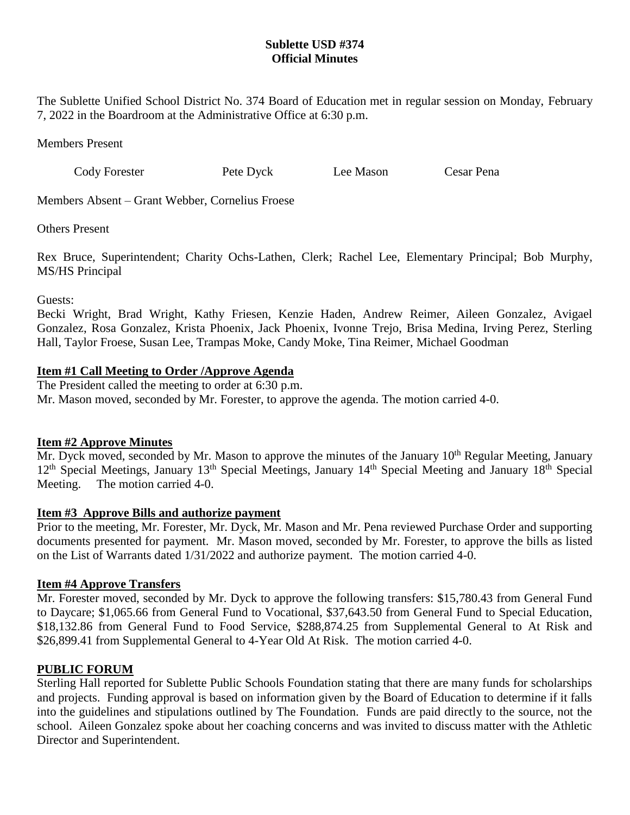# **Sublette USD #374 Official Minutes**

The Sublette Unified School District No. 374 Board of Education met in regular session on Monday, February 7, 2022 in the Boardroom at the Administrative Office at 6:30 p.m.

Members Present

Cody Forester Pete Dyck Lee Mason Cesar Pena

Members Absent – Grant Webber, Cornelius Froese

Others Present

Rex Bruce, Superintendent; Charity Ochs-Lathen, Clerk; Rachel Lee, Elementary Principal; Bob Murphy, MS/HS Principal

Guests:

Becki Wright, Brad Wright, Kathy Friesen, Kenzie Haden, Andrew Reimer, Aileen Gonzalez, Avigael Gonzalez, Rosa Gonzalez, Krista Phoenix, Jack Phoenix, Ivonne Trejo, Brisa Medina, Irving Perez, Sterling Hall, Taylor Froese, Susan Lee, Trampas Moke, Candy Moke, Tina Reimer, Michael Goodman

# **Item #1 Call Meeting to Order /Approve Agenda**

The President called the meeting to order at 6:30 p.m. Mr. Mason moved, seconded by Mr. Forester, to approve the agenda. The motion carried 4-0.

# **Item #2 Approve Minutes**

 $\overline{Mr}$ . Dyck moved, seconded by Mr. Mason to approve the minutes of the January 10<sup>th</sup> Regular Meeting, January 12<sup>th</sup> Special Meetings, January 13<sup>th</sup> Special Meetings, January 14<sup>th</sup> Special Meeting and January 18<sup>th</sup> Special Meeting. The motion carried 4-0.

### **Item #3 Approve Bills and authorize payment**

Prior to the meeting, Mr. Forester, Mr. Dyck, Mr. Mason and Mr. Pena reviewed Purchase Order and supporting documents presented for payment. Mr. Mason moved, seconded by Mr. Forester, to approve the bills as listed on the List of Warrants dated 1/31/2022 and authorize payment. The motion carried 4-0.

# **Item #4 Approve Transfers**

Mr. Forester moved, seconded by Mr. Dyck to approve the following transfers: \$15,780.43 from General Fund to Daycare; \$1,065.66 from General Fund to Vocational, \$37,643.50 from General Fund to Special Education, \$18,132.86 from General Fund to Food Service, \$288,874.25 from Supplemental General to At Risk and \$26,899.41 from Supplemental General to 4-Year Old At Risk. The motion carried 4-0.

# **PUBLIC FORUM**

Sterling Hall reported for Sublette Public Schools Foundation stating that there are many funds for scholarships and projects. Funding approval is based on information given by the Board of Education to determine if it falls into the guidelines and stipulations outlined by The Foundation. Funds are paid directly to the source, not the school. Aileen Gonzalez spoke about her coaching concerns and was invited to discuss matter with the Athletic Director and Superintendent.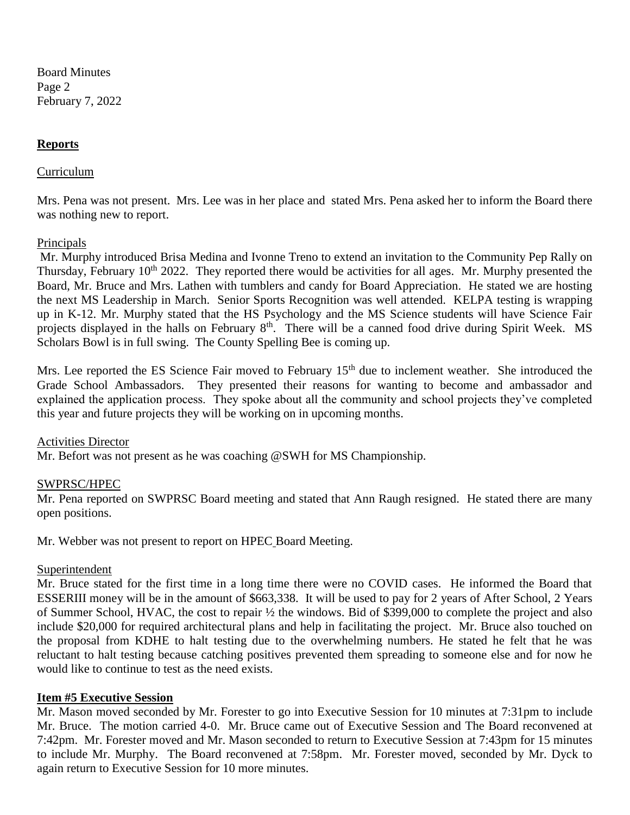Board Minutes Page 2 February 7, 2022

### **Reports**

#### Curriculum

Mrs. Pena was not present. Mrs. Lee was in her place and stated Mrs. Pena asked her to inform the Board there was nothing new to report.

#### Principals

Mr. Murphy introduced Brisa Medina and Ivonne Treno to extend an invitation to the Community Pep Rally on Thursday, February 10<sup>th</sup> 2022. They reported there would be activities for all ages. Mr. Murphy presented the Board, Mr. Bruce and Mrs. Lathen with tumblers and candy for Board Appreciation. He stated we are hosting the next MS Leadership in March. Senior Sports Recognition was well attended. KELPA testing is wrapping up in K-12. Mr. Murphy stated that the HS Psychology and the MS Science students will have Science Fair projects displayed in the halls on February 8<sup>th</sup>. There will be a canned food drive during Spirit Week. MS Scholars Bowl is in full swing. The County Spelling Bee is coming up.

Mrs. Lee reported the ES Science Fair moved to February 15<sup>th</sup> due to inclement weather. She introduced the Grade School Ambassadors. They presented their reasons for wanting to become and ambassador and explained the application process. They spoke about all the community and school projects they've completed this year and future projects they will be working on in upcoming months.

#### Activities Director

Mr. Befort was not present as he was coaching @SWH for MS Championship.

### SWPRSC/HPEC

Mr. Pena reported on SWPRSC Board meeting and stated that Ann Raugh resigned. He stated there are many open positions.

Mr. Webber was not present to report on HPEC Board Meeting.

#### Superintendent

Mr. Bruce stated for the first time in a long time there were no COVID cases. He informed the Board that ESSERIII money will be in the amount of \$663,338. It will be used to pay for 2 years of After School, 2 Years of Summer School, HVAC, the cost to repair ½ the windows. Bid of \$399,000 to complete the project and also include \$20,000 for required architectural plans and help in facilitating the project. Mr. Bruce also touched on the proposal from KDHE to halt testing due to the overwhelming numbers. He stated he felt that he was reluctant to halt testing because catching positives prevented them spreading to someone else and for now he would like to continue to test as the need exists.

### **Item #5 Executive Session**

Mr. Mason moved seconded by Mr. Forester to go into Executive Session for 10 minutes at 7:31pm to include Mr. Bruce. The motion carried 4-0. Mr. Bruce came out of Executive Session and The Board reconvened at 7:42pm. Mr. Forester moved and Mr. Mason seconded to return to Executive Session at 7:43pm for 15 minutes to include Mr. Murphy. The Board reconvened at 7:58pm. Mr. Forester moved, seconded by Mr. Dyck to again return to Executive Session for 10 more minutes.